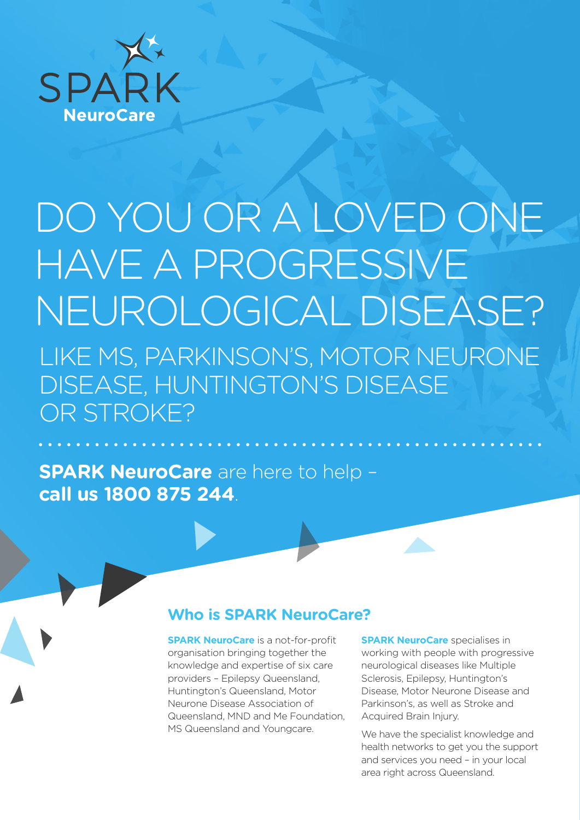

# DO YOU OR A LOVED ONE HAVE A PROGRESSIVE NEUROLOGICAL DISEASE? LIKE MS, PARKINSON'S, MOTOR NEURONE DISEASE, HUNTINGTON'S DISEASE OR STROKE?

**SPARK NeuroCare** are here to help – **call us 1800 875 244**.

#### **Who is SPARK NeuroCare?**

**SPARK NeuroCare** is a not-for-profit organisation bringing together the knowledge and expertise of six care providers – Epilepsy Queensland, Huntington's Queensland, Motor Neurone Disease Association of Queensland, MND and Me Foundation, MS Queensland and Youngcare.

**SPARK NeuroCare** specialises in working with people with progressive neurological diseases like Multiple Sclerosis, Epilepsy, Huntington's Disease, Motor Neurone Disease and Parkinson's, as well as Stroke and Acquired Brain Injury.

We have the specialist knowledge and health networks to get you the support and services you need – in your local area right across Queensland.